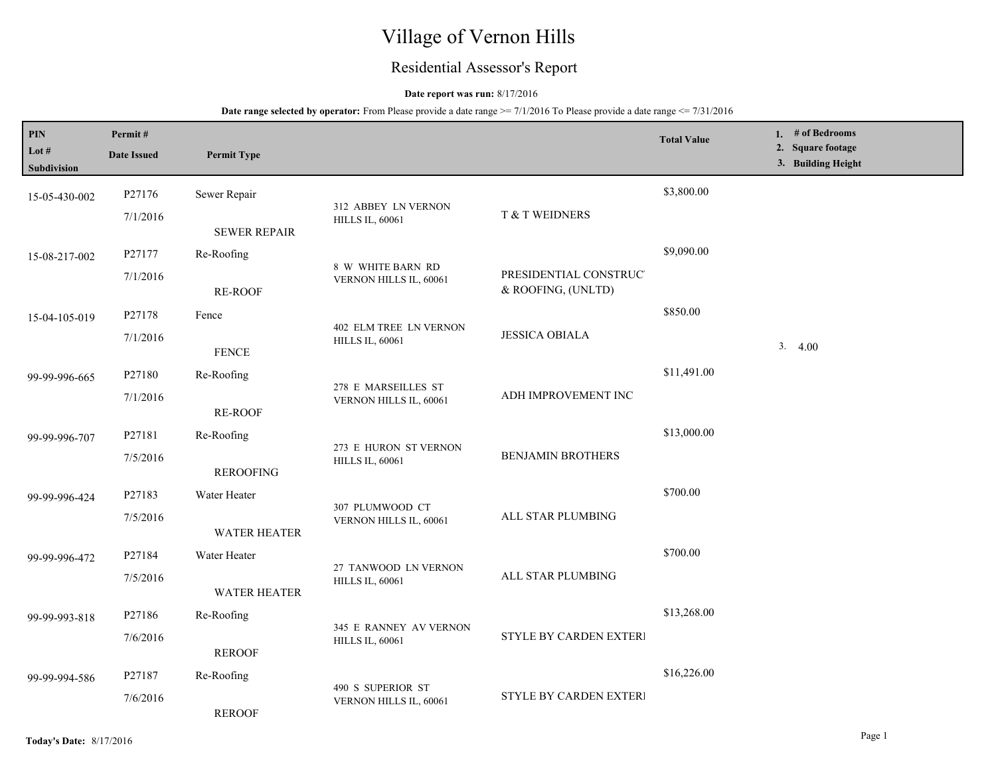# Village of Vernon Hills

# Residential Assessor's Report

## **Date report was run:** 8/17/2016

| PIN           | Permit#            |                                                                 |                                                 |                                              | <b>Total Value</b> | 1. $#$ of Bedrooms                      |
|---------------|--------------------|-----------------------------------------------------------------|-------------------------------------------------|----------------------------------------------|--------------------|-----------------------------------------|
| Lot $#$       | <b>Date Issued</b> | <b>Permit Type</b>                                              |                                                 |                                              |                    | 2. Square footage<br>3. Building Height |
| Subdivision   |                    |                                                                 |                                                 |                                              |                    |                                         |
| 15-05-430-002 | P27176             | Sewer Repair                                                    | 312 ABBEY LN VERNON                             |                                              | \$3,800.00         |                                         |
|               | 7/1/2016           | <b>SEWER REPAIR</b>                                             | <b>HILLS IL, 60061</b>                          | T & T WEIDNERS                               |                    |                                         |
| 15-08-217-002 | P27177             | Re-Roofing                                                      | 8 W WHITE BARN RD                               |                                              | \$9,090.00         |                                         |
|               | 7/1/2016           | <b>RE-ROOF</b>                                                  | VERNON HILLS IL, 60061                          | PRESIDENTIAL CONSTRUC'<br>& ROOFING, (UNLTD) |                    |                                         |
| 15-04-105-019 | P27178             | Fence                                                           | <b>402 ELM TREE LN VERNON</b>                   |                                              | \$850.00           |                                         |
|               | 7/1/2016           | <b>FENCE</b>                                                    | <b>HILLS IL, 60061</b>                          | <b>JESSICA OBIALA</b>                        |                    | 3.4.00                                  |
| 99-99-996-665 | P27180             | Re-Roofing                                                      |                                                 |                                              | \$11,491.00        |                                         |
|               | 7/1/2016           | 278 E MARSEILLES ST<br>VERNON HILLS IL, 60061<br><b>RE-ROOF</b> | ADH IMPROVEMENT INC                             |                                              |                    |                                         |
| 99-99-996-707 | P27181             | Re-Roofing                                                      |                                                 |                                              | \$13,000.00        |                                         |
|               | 7/5/2016           | <b>REROOFING</b>                                                | 273 E HURON ST VERNON<br><b>HILLS IL, 60061</b> | <b>BENJAMIN BROTHERS</b>                     |                    |                                         |
| 99-99-996-424 | P27183             | Water Heater                                                    |                                                 |                                              | \$700.00           |                                         |
|               | 7/5/2016           | <b>WATER HEATER</b>                                             | 307 PLUMWOOD CT<br>VERNON HILLS IL, 60061       | ALL STAR PLUMBING                            |                    |                                         |
| 99-99-996-472 | P27184             | Water Heater                                                    | 27 TANWOOD LN VERNON                            |                                              | \$700.00           |                                         |
|               | 7/5/2016           | <b>WATER HEATER</b>                                             | <b>HILLS IL, 60061</b>                          | ALL STAR PLUMBING                            |                    |                                         |
| 99-99-993-818 | P27186             | Re-Roofing                                                      | 345 E RANNEY AV VERNON                          |                                              | \$13,268.00        |                                         |
|               | 7/6/2016           | <b>REROOF</b>                                                   | <b>HILLS IL, 60061</b>                          | STYLE BY CARDEN EXTERI                       |                    |                                         |
| 99-99-994-586 | P27187             | Re-Roofing                                                      |                                                 | STYLE BY CARDEN EXTERI                       | \$16,226.00        |                                         |
|               | 7/6/2016           | <b>REROOF</b>                                                   | 490 S SUPERIOR ST<br>VERNON HILLS IL, 60061     |                                              |                    |                                         |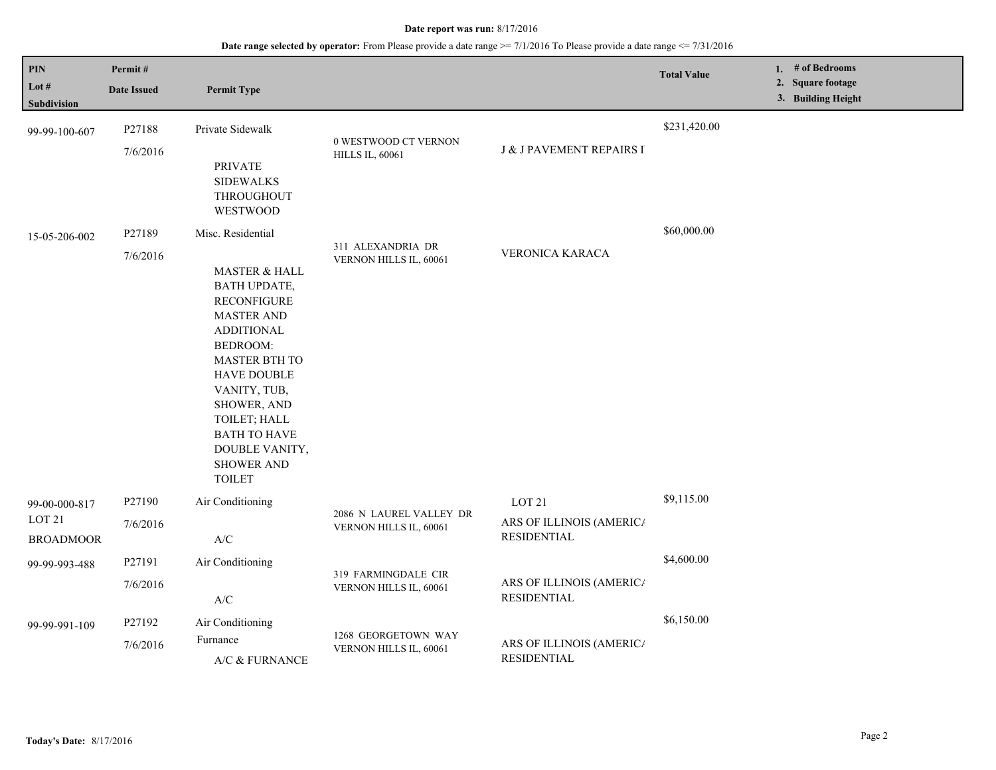| <b>PIN</b><br>Lot #                   | Permit#<br><b>Date Issued</b> | <b>Permit Type</b>                                                                                                                                                                                                                                                                                             |                                                   |                                                | <b>Total Value</b> | 1. # of Bedrooms<br>2. Square footage<br>3. Building Height |
|---------------------------------------|-------------------------------|----------------------------------------------------------------------------------------------------------------------------------------------------------------------------------------------------------------------------------------------------------------------------------------------------------------|---------------------------------------------------|------------------------------------------------|--------------------|-------------------------------------------------------------|
| Subdivision                           |                               |                                                                                                                                                                                                                                                                                                                |                                                   |                                                |                    |                                                             |
| 99-99-100-607                         | P27188                        | Private Sidewalk                                                                                                                                                                                                                                                                                               |                                                   |                                                | \$231,420.00       |                                                             |
|                                       | 7/6/2016                      | <b>PRIVATE</b><br><b>SIDEWALKS</b><br>THROUGHOUT<br>WESTWOOD                                                                                                                                                                                                                                                   | 0 WESTWOOD CT VERNON<br><b>HILLS IL, 60061</b>    | J & J PAVEMENT REPAIRS I                       |                    |                                                             |
| 15-05-206-002                         | P27189                        | Misc. Residential                                                                                                                                                                                                                                                                                              |                                                   |                                                | \$60,000.00        |                                                             |
|                                       | 7/6/2016                      | <b>MASTER &amp; HALL</b><br><b>BATH UPDATE,</b><br><b>RECONFIGURE</b><br><b>MASTER AND</b><br><b>ADDITIONAL</b><br><b>BEDROOM:</b><br><b>MASTER BTH TO</b><br><b>HAVE DOUBLE</b><br>VANITY, TUB,<br>SHOWER, AND<br>TOILET; HALL<br><b>BATH TO HAVE</b><br>DOUBLE VANITY,<br><b>SHOWER AND</b><br><b>TOILET</b> | 311 ALEXANDRIA DR<br>VERNON HILLS IL, 60061       | VERONICA KARACA                                |                    |                                                             |
| 99-00-000-817                         | P27190                        | Air Conditioning                                                                                                                                                                                                                                                                                               |                                                   | LOT 21                                         | \$9,115.00         |                                                             |
| LOT <sub>21</sub><br><b>BROADMOOR</b> | 7/6/2016                      | $\ensuremath{\mathsf{A}}\xspace/\ensuremath{\mathsf{C}}\xspace$                                                                                                                                                                                                                                                | 2086 N LAUREL VALLEY DR<br>VERNON HILLS IL, 60061 | ARS OF ILLINOIS (AMERICA<br><b>RESIDENTIAL</b> |                    |                                                             |
| 99-99-993-488                         | P27191                        | Air Conditioning                                                                                                                                                                                                                                                                                               |                                                   |                                                | \$4,600.00         |                                                             |
|                                       | 7/6/2016                      | $\ensuremath{\mathsf{A}}\xspace/\ensuremath{\mathsf{C}}\xspace$                                                                                                                                                                                                                                                | 319 FARMINGDALE CIR<br>VERNON HILLS IL, 60061     | ARS OF ILLINOIS (AMERICA<br><b>RESIDENTIAL</b> |                    |                                                             |
| 99-99-991-109                         | P27192                        | Air Conditioning                                                                                                                                                                                                                                                                                               |                                                   |                                                | \$6,150.00         |                                                             |
|                                       | 7/6/2016                      | Furnance<br>A/C & FURNANCE                                                                                                                                                                                                                                                                                     | 1268 GEORGETOWN WAY<br>VERNON HILLS IL, 60061     | ARS OF ILLINOIS (AMERICA<br><b>RESIDENTIAL</b> |                    |                                                             |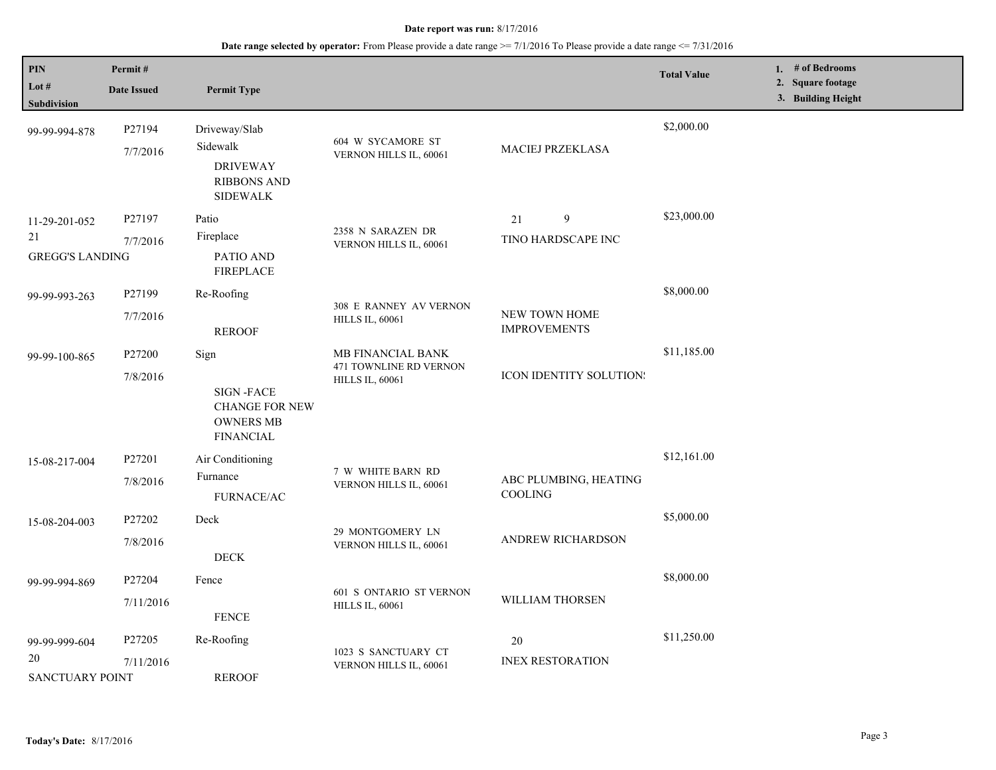| $\boldsymbol{\mathsf{PIN}}$<br>Lot #<br><b>Subdivision</b> | Permit#<br><b>Date Issued</b>  | <b>Permit Type</b>                                                                        |                                                                       |                                      | <b>Total Value</b> | 1. # of Bedrooms<br>2. Square footage<br>3. Building Height |
|------------------------------------------------------------|--------------------------------|-------------------------------------------------------------------------------------------|-----------------------------------------------------------------------|--------------------------------------|--------------------|-------------------------------------------------------------|
| 99-99-994-878                                              | P27194<br>7/7/2016             | Driveway/Slab<br>Sidewalk<br><b>DRIVEWAY</b><br><b>RIBBONS AND</b><br><b>SIDEWALK</b>     | 604 W SYCAMORE ST<br>VERNON HILLS IL, 60061                           | MACIEJ PRZEKLASA                     | \$2,000.00         |                                                             |
| 11-29-201-052<br>21<br><b>GREGG'S LANDING</b>              | P27197<br>7/7/2016             | Patio<br>Fireplace<br>PATIO AND<br><b>FIREPLACE</b>                                       | 2358 N SARAZEN DR<br>VERNON HILLS IL, 60061                           | 9<br>21<br>TINO HARDSCAPE INC        | \$23,000.00        |                                                             |
| 99-99-993-263                                              | P <sub>27199</sub><br>7/7/2016 | Re-Roofing<br><b>REROOF</b>                                                               | 308 E RANNEY AV VERNON<br><b>HILLS IL, 60061</b>                      | NEW TOWN HOME<br><b>IMPROVEMENTS</b> | \$8,000.00         |                                                             |
| 99-99-100-865                                              | P27200<br>7/8/2016             | Sign<br><b>SIGN-FACE</b><br><b>CHANGE FOR NEW</b><br><b>OWNERS MB</b><br><b>FINANCIAL</b> | MB FINANCIAL BANK<br>471 TOWNLINE RD VERNON<br><b>HILLS IL, 60061</b> | ICON IDENTITY SOLUTION:              | \$11,185.00        |                                                             |
| 15-08-217-004                                              | P27201<br>7/8/2016             | Air Conditioning<br>Furnance<br><b>FURNACE/AC</b>                                         | 7 W WHITE BARN RD<br>VERNON HILLS IL, 60061                           | ABC PLUMBING, HEATING<br>COOLING     | \$12,161.00        |                                                             |
| 15-08-204-003                                              | P27202<br>7/8/2016             | Deck<br><b>DECK</b>                                                                       | 29 MONTGOMERY LN<br>VERNON HILLS IL, 60061                            | <b>ANDREW RICHARDSON</b>             | \$5,000.00         |                                                             |
| 99-99-994-869                                              | P27204<br>7/11/2016            | Fence<br><b>FENCE</b>                                                                     | <b>601 S ONTARIO ST VERNON</b><br><b>HILLS IL, 60061</b>              | WILLIAM THORSEN                      | \$8,000.00         |                                                             |
| 99-99-999-604<br>$20\,$<br><b>SANCTUARY POINT</b>          | P27205<br>7/11/2016            | Re-Roofing<br><b>REROOF</b>                                                               | 1023 S SANCTUARY CT<br>VERNON HILLS IL, 60061                         | 20<br><b>INEX RESTORATION</b>        | \$11,250.00        |                                                             |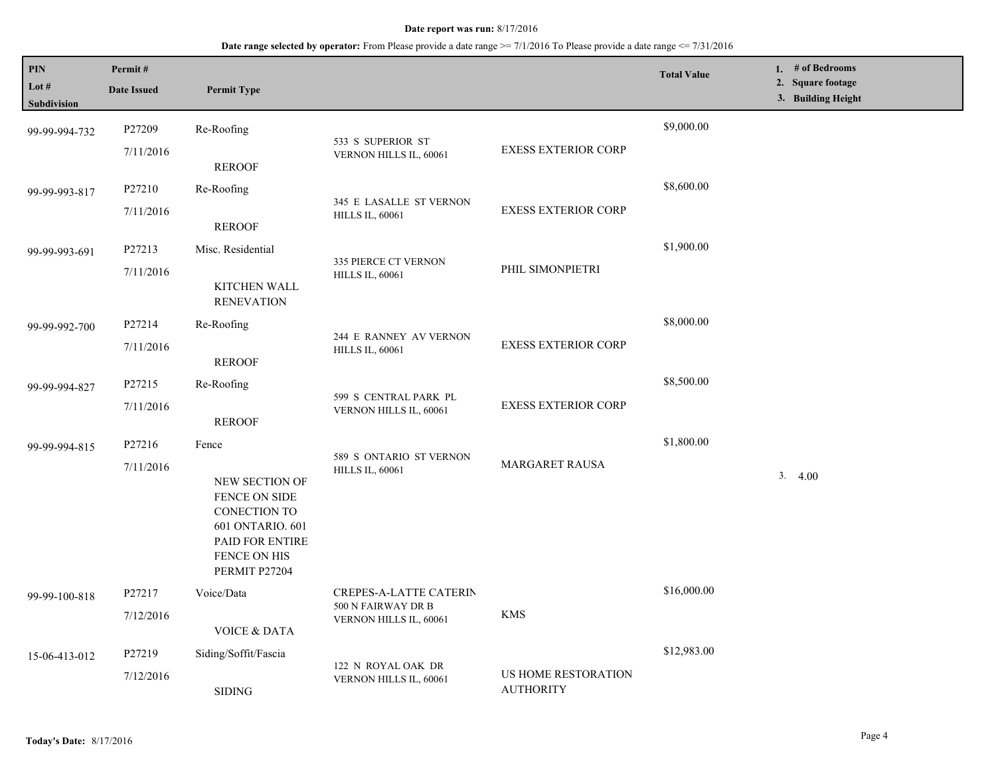| PIN<br>Lot #<br>Subdivision | Permit#<br><b>Date Issued</b> | <b>Permit Type</b>                                                                                           |                                                                               |                                         | <b>Total Value</b> | 1. # of Bedrooms<br>2. Square footage<br>3. Building Height |
|-----------------------------|-------------------------------|--------------------------------------------------------------------------------------------------------------|-------------------------------------------------------------------------------|-----------------------------------------|--------------------|-------------------------------------------------------------|
| 99-99-994-732               | P27209<br>7/11/2016           | Re-Roofing                                                                                                   | 533 S SUPERIOR ST<br>VERNON HILLS IL, 60061                                   | <b>EXESS EXTERIOR CORP</b>              | \$9,000.00         |                                                             |
| 99-99-993-817               | P27210<br>7/11/2016           | <b>REROOF</b><br>Re-Roofing                                                                                  | 345 E LASALLE ST VERNON<br><b>HILLS IL, 60061</b>                             | <b>EXESS EXTERIOR CORP</b>              | \$8,600.00         |                                                             |
| 99-99-993-691               | P27213<br>7/11/2016           | <b>REROOF</b><br>Misc. Residential                                                                           | 335 PIERCE CT VERNON<br><b>HILLS IL, 60061</b>                                | PHIL SIMONPIETRI                        | \$1,900.00         |                                                             |
| 99-99-992-700               | P27214<br>7/11/2016           | KITCHEN WALL<br><b>RENEVATION</b><br>Re-Roofing                                                              | 244 E RANNEY AV VERNON<br><b>HILLS IL, 60061</b>                              | <b>EXESS EXTERIOR CORP</b>              | \$8,000.00         |                                                             |
| 99-99-994-827               | P27215<br>7/11/2016           | <b>REROOF</b><br>Re-Roofing                                                                                  | 599 S CENTRAL PARK PL<br>VERNON HILLS IL, 60061                               | <b>EXESS EXTERIOR CORP</b>              | \$8,500.00         |                                                             |
| 99-99-994-815               | P27216<br>7/11/2016           | <b>REROOF</b><br>Fence<br>NEW SECTION OF                                                                     | 589 S ONTARIO ST VERNON<br><b>HILLS IL, 60061</b>                             | <b>MARGARET RAUSA</b>                   | \$1,800.00         | 3.4.00                                                      |
|                             |                               | <b>FENCE ON SIDE</b><br>CONECTION TO<br>601 ONTARIO. 601<br>PAID FOR ENTIRE<br>FENCE ON HIS<br>PERMIT P27204 |                                                                               |                                         |                    |                                                             |
| 99-99-100-818               | P27217<br>7/12/2016           | Voice/Data<br><b>VOICE &amp; DATA</b>                                                                        | <b>CREPES-A-LATTE CATERIN</b><br>500 N FAIRWAY DR B<br>VERNON HILLS IL, 60061 | <b>KMS</b>                              | \$16,000.00        |                                                             |
| 15-06-413-012               | P27219<br>7/12/2016           | Siding/Soffit/Fascia<br><b>SIDING</b>                                                                        | 122 N ROYAL OAK DR<br>VERNON HILLS IL, 60061                                  | US HOME RESTORATION<br><b>AUTHORITY</b> | \$12,983.00        |                                                             |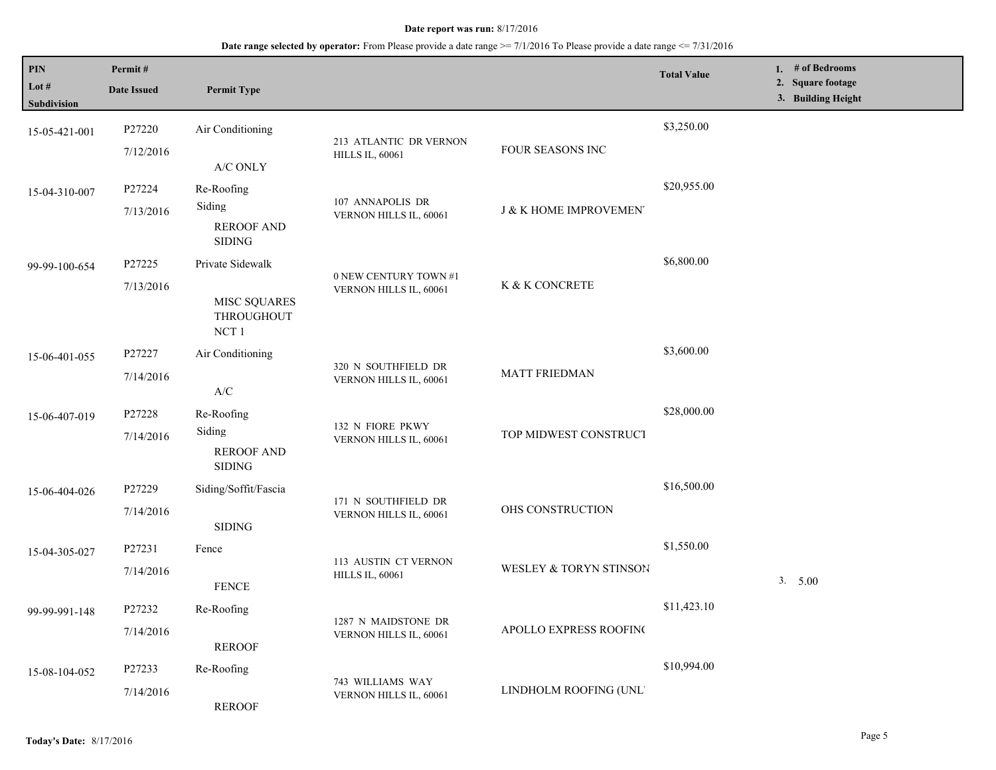| <b>PIN</b><br>Lot $#$<br>Subdivision | Permit#<br><b>Date Issued</b>                                                                                               | <b>Permit Type</b>                                              |                                            |                        | <b>Total Value</b> | 1. # of Bedrooms<br>2. Square footage<br>3. Building Height |
|--------------------------------------|-----------------------------------------------------------------------------------------------------------------------------|-----------------------------------------------------------------|--------------------------------------------|------------------------|--------------------|-------------------------------------------------------------|
| 15-05-421-001                        | P27220                                                                                                                      | Air Conditioning                                                | 213 ATLANTIC DR VERNON                     | FOUR SEASONS INC       | \$3,250.00         |                                                             |
|                                      | 7/12/2016                                                                                                                   | A/C ONLY                                                        | <b>HILLS IL, 60061</b>                     |                        |                    |                                                             |
| 15-04-310-007                        | P27224                                                                                                                      | Re-Roofing                                                      | 107 ANNAPOLIS DR                           | J & K HOME IMPROVEMEN. | \$20,955.00        |                                                             |
|                                      | 7/13/2016                                                                                                                   | Siding<br><b>REROOF AND</b><br><b>SIDING</b>                    | VERNON HILLS IL, 60061                     |                        |                    |                                                             |
| 99-99-100-654                        | P27225                                                                                                                      | Private Sidewalk                                                | 0 NEW CENTURY TOWN #1                      |                        | \$6,800.00         |                                                             |
|                                      | K & K CONCRETE<br>7/13/2016<br>VERNON HILLS IL, 60061<br><b>MISC SQUARES</b><br><b>THROUGHOUT</b><br>$\operatorname{NCT}$ 1 |                                                                 |                                            |                        |                    |                                                             |
| 15-06-401-055                        | P27227                                                                                                                      | Air Conditioning                                                | 320 N SOUTHFIELD DR                        |                        | \$3,600.00         |                                                             |
|                                      | 7/14/2016                                                                                                                   | $\ensuremath{\mathsf{A}}\xspace/\ensuremath{\mathsf{C}}\xspace$ | VERNON HILLS IL, 60061                     | <b>MATT FRIEDMAN</b>   |                    |                                                             |
| 15-06-407-019                        | P27228                                                                                                                      | Re-Roofing                                                      | 132 N FIORE PKWY                           | TOP MIDWEST CONSTRUCT  | \$28,000.00        |                                                             |
|                                      | 7/14/2016                                                                                                                   | Siding<br><b>REROOF AND</b><br><b>SIDING</b>                    | VERNON HILLS IL, 60061                     |                        |                    |                                                             |
| 15-06-404-026                        | P27229                                                                                                                      | Siding/Soffit/Fascia                                            | 171 N SOUTHFIELD DR                        |                        | \$16,500.00        |                                                             |
|                                      | 7/14/2016                                                                                                                   | <b>SIDING</b>                                                   | VERNON HILLS IL, 60061                     | OHS CONSTRUCTION       |                    |                                                             |
| 15-04-305-027                        | P27231                                                                                                                      | Fence                                                           | 113 AUSTIN CT VERNON                       |                        | \$1,550.00         |                                                             |
|                                      | 7/14/2016                                                                                                                   | <b>FENCE</b>                                                    | <b>HILLS IL, 60061</b>                     | WESLEY & TORYN STINSON |                    | 3. 5.00                                                     |
| 99-99-991-148                        | P27232                                                                                                                      | Re-Roofing                                                      | 1287 N MAIDSTONE DR                        |                        | \$11,423.10        |                                                             |
|                                      | 7/14/2016                                                                                                                   | <b>REROOF</b>                                                   | VERNON HILLS IL, 60061                     | APOLLO EXPRESS ROOFING |                    |                                                             |
| 15-08-104-052                        | P27233                                                                                                                      | Re-Roofing                                                      |                                            | LINDHOLM ROOFING (UNL' | \$10,994.00        |                                                             |
|                                      | 7/14/2016                                                                                                                   | <b>REROOF</b>                                                   | 743 WILLIAMS WAY<br>VERNON HILLS IL, 60061 |                        |                    |                                                             |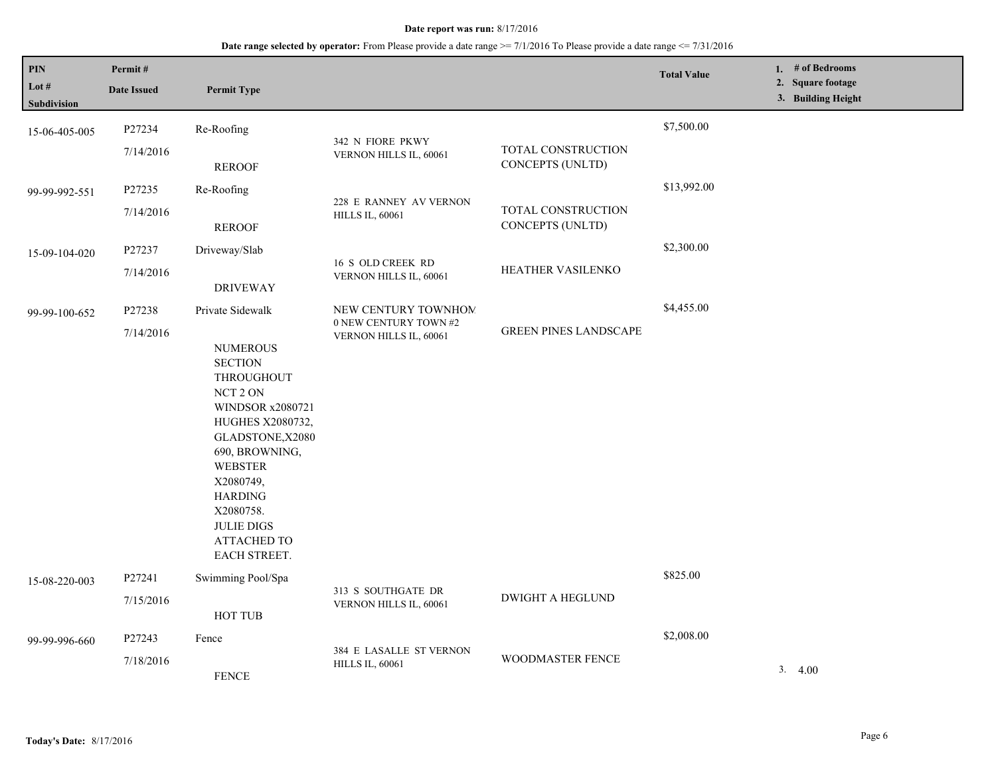| PIN<br>Lot #<br>Subdivision | Permit#<br><b>Date Issued</b> | <b>Permit Type</b>                                                                                                                                                                                                                                                                                |                                                   |                                        | <b>Total Value</b> | 1. # of Bedrooms<br>2. Square footage<br>3. Building Height |
|-----------------------------|-------------------------------|---------------------------------------------------------------------------------------------------------------------------------------------------------------------------------------------------------------------------------------------------------------------------------------------------|---------------------------------------------------|----------------------------------------|--------------------|-------------------------------------------------------------|
| 15-06-405-005               | P27234                        | Re-Roofing                                                                                                                                                                                                                                                                                        | 342 N FIORE PKWY                                  |                                        | \$7,500.00         |                                                             |
|                             | 7/14/2016                     | <b>REROOF</b>                                                                                                                                                                                                                                                                                     | VERNON HILLS IL, 60061                            | TOTAL CONSTRUCTION<br>CONCEPTS (UNLTD) |                    |                                                             |
| 99-99-992-551               | P27235                        | Re-Roofing                                                                                                                                                                                                                                                                                        |                                                   |                                        | \$13,992.00        |                                                             |
|                             | 7/14/2016                     | <b>REROOF</b>                                                                                                                                                                                                                                                                                     | 228 E RANNEY AV VERNON<br><b>HILLS IL, 60061</b>  | TOTAL CONSTRUCTION<br>CONCEPTS (UNLTD) |                    |                                                             |
| 15-09-104-020               | P27237                        | Driveway/Slab                                                                                                                                                                                                                                                                                     | 16 S OLD CREEK RD<br>VERNON HILLS IL, 60061       | HEATHER VASILENKO                      | \$2,300.00         |                                                             |
|                             | 7/14/2016                     | <b>DRIVEWAY</b>                                                                                                                                                                                                                                                                                   |                                                   |                                        |                    |                                                             |
| 99-99-100-652               | P27238                        | Private Sidewalk                                                                                                                                                                                                                                                                                  | NEW CENTURY TOWNHOM                               |                                        | \$4,455.00         |                                                             |
|                             | 7/14/2016                     | <b>NUMEROUS</b><br><b>SECTION</b><br><b>THROUGHOUT</b><br>NCT <sub>2</sub> ON<br><b>WINDSOR x2080721</b><br>HUGHES X2080732,<br>GLADSTONE,X2080<br>690, BROWNING,<br><b>WEBSTER</b><br>X2080749,<br><b>HARDING</b><br>X2080758.<br><b>JULIE DIGS</b><br><b>ATTACHED TO</b><br><b>EACH STREET.</b> | 0 NEW CENTURY TOWN #2<br>VERNON HILLS IL, 60061   | <b>GREEN PINES LANDSCAPE</b>           |                    |                                                             |
| 15-08-220-003               | P27241                        | Swimming Pool/Spa                                                                                                                                                                                                                                                                                 |                                                   |                                        | \$825.00           |                                                             |
|                             | 7/15/2016                     | HOT TUB                                                                                                                                                                                                                                                                                           | 313 S SOUTHGATE DR<br>VERNON HILLS IL, 60061      | <b>DWIGHT A HEGLUND</b>                |                    |                                                             |
| 99-99-996-660               | P27243                        | Fence                                                                                                                                                                                                                                                                                             |                                                   |                                        | \$2,008.00         |                                                             |
|                             | 7/18/2016                     | <b>FENCE</b>                                                                                                                                                                                                                                                                                      | 384 E LASALLE ST VERNON<br><b>HILLS IL, 60061</b> | WOODMASTER FENCE                       |                    | 3.4.00                                                      |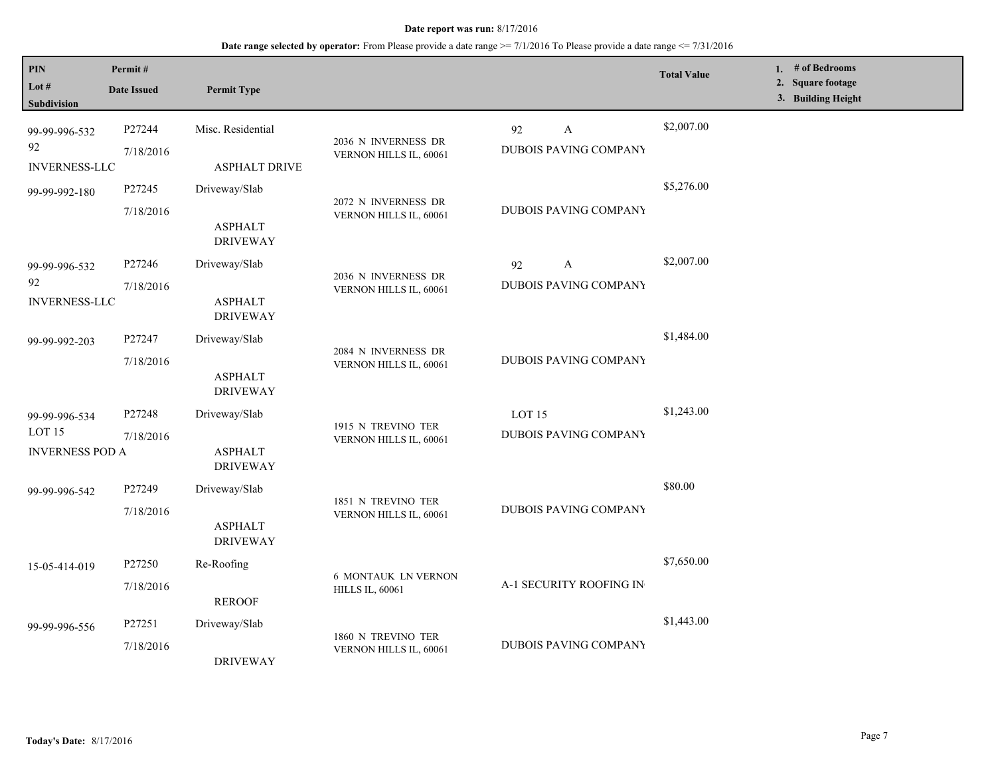| PIN<br>Lot #<br>Subdivision                                  | Permit#<br><b>Date Issued</b> | <b>Permit Type</b>                                 |                                                      |                                                    | <b>Total Value</b> | 1. # of Bedrooms<br>2. Square footage<br>3. Building Height |
|--------------------------------------------------------------|-------------------------------|----------------------------------------------------|------------------------------------------------------|----------------------------------------------------|--------------------|-------------------------------------------------------------|
| 99-99-996-532<br>92<br><b>INVERNESS-LLC</b>                  | P27244<br>7/18/2016           | Misc. Residential<br><b>ASPHALT DRIVE</b>          | 2036 N INVERNESS DR<br>VERNON HILLS IL, 60061        | 92<br>$\mathbf{A}$<br><b>DUBOIS PAVING COMPANY</b> | \$2,007.00         |                                                             |
| 99-99-992-180                                                | P27245<br>7/18/2016           | Driveway/Slab<br><b>ASPHALT</b><br><b>DRIVEWAY</b> | 2072 N INVERNESS DR<br>VERNON HILLS IL, 60061        | <b>DUBOIS PAVING COMPANY</b>                       | \$5,276.00         |                                                             |
| 99-99-996-532<br>92<br><b>INVERNESS-LLC</b>                  | P27246<br>7/18/2016           | Driveway/Slab<br><b>ASPHALT</b><br><b>DRIVEWAY</b> | 2036 N INVERNESS DR<br>VERNON HILLS IL, 60061        | A<br>92<br><b>DUBOIS PAVING COMPANY</b>            | \$2,007.00         |                                                             |
| 99-99-992-203                                                | P27247<br>7/18/2016           | Driveway/Slab<br><b>ASPHALT</b><br><b>DRIVEWAY</b> | 2084 N INVERNESS DR<br>VERNON HILLS IL, 60061        | <b>DUBOIS PAVING COMPANY</b>                       | \$1,484.00         |                                                             |
| 99-99-996-534<br>LOT <sub>15</sub><br><b>INVERNESS POD A</b> | P27248<br>7/18/2016           | Driveway/Slab<br><b>ASPHALT</b><br><b>DRIVEWAY</b> | 1915 N TREVINO TER<br>VERNON HILLS IL, 60061         | LOT <sub>15</sub><br><b>DUBOIS PAVING COMPANY</b>  | \$1,243.00         |                                                             |
| 99-99-996-542                                                | P27249<br>7/18/2016           | Driveway/Slab<br><b>ASPHALT</b><br><b>DRIVEWAY</b> | 1851 N TREVINO TER<br>VERNON HILLS IL, 60061         | <b>DUBOIS PAVING COMPANY</b>                       | \$80.00            |                                                             |
| 15-05-414-019                                                | P27250<br>7/18/2016           | Re-Roofing<br><b>REROOF</b>                        | <b>6 MONTAUK LN VERNON</b><br><b>HILLS IL, 60061</b> | A-1 SECURITY ROOFING IN                            | \$7,650.00         |                                                             |
| 99-99-996-556                                                | P27251<br>7/18/2016           | Driveway/Slab<br><b>DRIVEWAY</b>                   | 1860 N TREVINO TER<br>VERNON HILLS IL, 60061         | <b>DUBOIS PAVING COMPANY</b>                       | \$1,443.00         |                                                             |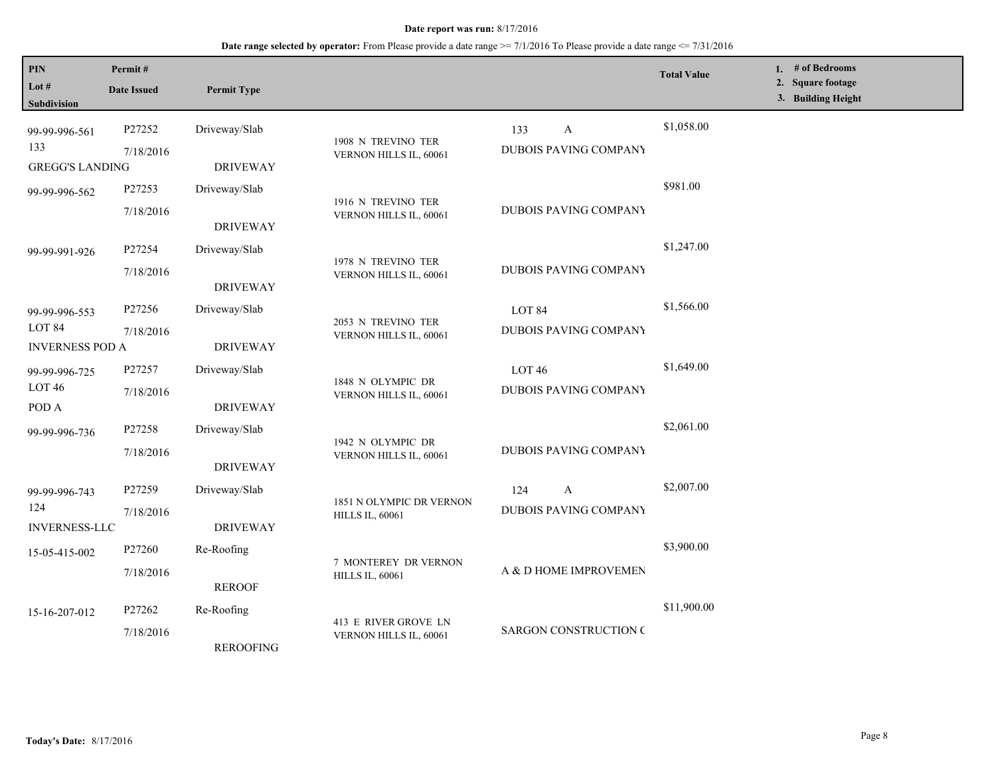| PIN<br>Lot #<br><b>Subdivision</b>                           | Permit#<br><b>Date Issued</b> | <b>Permit Type</b>               |                                                    |                                                   | <b>Total Value</b> | 1. # of Bedrooms<br>2. Square footage<br>3. Building Height |
|--------------------------------------------------------------|-------------------------------|----------------------------------|----------------------------------------------------|---------------------------------------------------|--------------------|-------------------------------------------------------------|
| 99-99-996-561<br>133<br><b>GREGG'S LANDING</b>               | P27252<br>7/18/2016           | Driveway/Slab<br><b>DRIVEWAY</b> | 1908 N TREVINO TER<br>VERNON HILLS IL, 60061       | A<br>133<br><b>DUBOIS PAVING COMPANY</b>          | \$1,058.00         |                                                             |
| 99-99-996-562                                                | P27253<br>7/18/2016           | Driveway/Slab<br><b>DRIVEWAY</b> | 1916 N TREVINO TER<br>VERNON HILLS IL, 60061       | DUBOIS PAVING COMPANY                             | \$981.00           |                                                             |
| 99-99-991-926                                                | P27254<br>7/18/2016           | Driveway/Slab<br><b>DRIVEWAY</b> | 1978 N TREVINO TER<br>VERNON HILLS IL, 60061       | DUBOIS PAVING COMPANY                             | \$1,247.00         |                                                             |
| 99-99-996-553<br>LOT <sub>84</sub><br><b>INVERNESS POD A</b> | P27256<br>7/18/2016           | Driveway/Slab<br><b>DRIVEWAY</b> | 2053 N TREVINO TER<br>VERNON HILLS IL, 60061       | LOT <sub>84</sub><br><b>DUBOIS PAVING COMPANY</b> | \$1,566.00         |                                                             |
| 99-99-996-725<br>LOT <sub>46</sub><br>POD A                  | P27257<br>7/18/2016           | Driveway/Slab<br><b>DRIVEWAY</b> | 1848 N OLYMPIC DR<br>VERNON HILLS IL, 60061        | LOT <sub>46</sub><br><b>DUBOIS PAVING COMPANY</b> | \$1,649.00         |                                                             |
| 99-99-996-736                                                | P27258<br>7/18/2016           | Driveway/Slab<br><b>DRIVEWAY</b> | 1942 N OLYMPIC DR<br>VERNON HILLS IL, 60061        | DUBOIS PAVING COMPANY                             | \$2,061.00         |                                                             |
| 99-99-996-743<br>124<br><b>INVERNESS-LLC</b>                 | P27259<br>7/18/2016           | Driveway/Slab<br><b>DRIVEWAY</b> | 1851 N OLYMPIC DR VERNON<br><b>HILLS IL, 60061</b> | 124<br>A<br>DUBOIS PAVING COMPANY                 | \$2,007.00         |                                                             |
| 15-05-415-002                                                | P27260<br>7/18/2016           | Re-Roofing<br><b>REROOF</b>      | 7 MONTEREY DR VERNON<br><b>HILLS IL, 60061</b>     | A & D HOME IMPROVEMEN                             | \$3,900.00         |                                                             |
| 15-16-207-012                                                | P27262<br>7/18/2016           | Re-Roofing<br><b>REROOFING</b>   | 413 E RIVER GROVE LN<br>VERNON HILLS IL, 60061     | <b>SARGON CONSTRUCTION C</b>                      | \$11,900.00        |                                                             |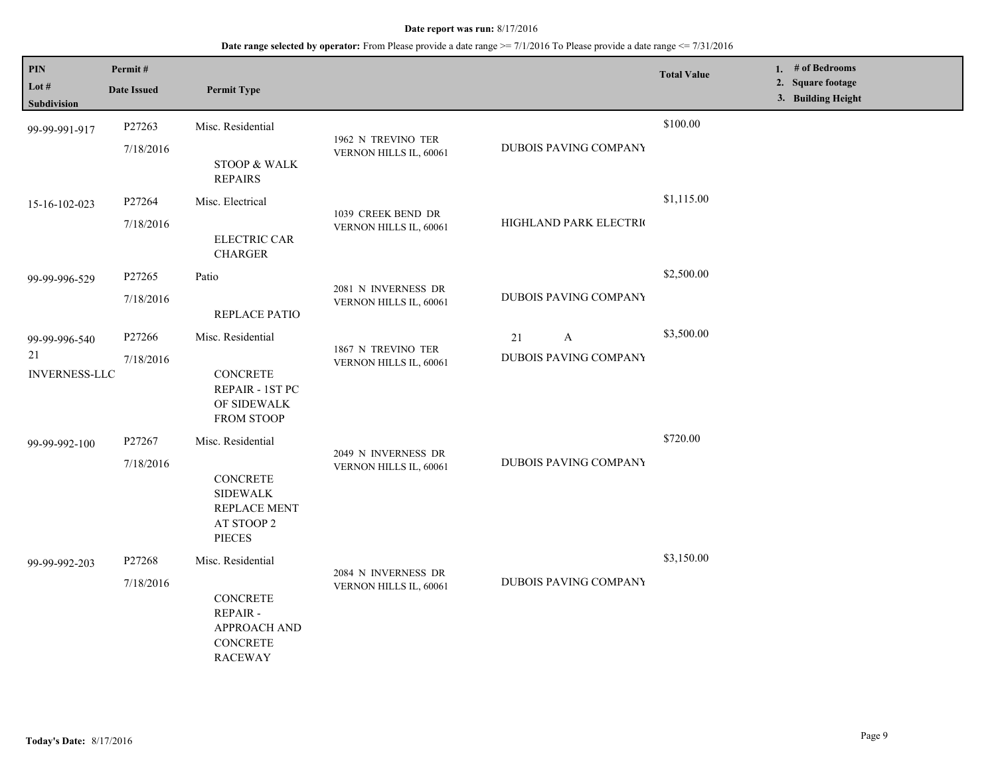| PIN<br>Lot $#$<br>Subdivision               | Permit#<br><b>Date Issued</b> | <b>Permit Type</b>                                                                                    |                                               |                                                    | <b>Total Value</b> | 1. $#$ of Bedrooms<br>2. Square footage<br>3. Building Height |
|---------------------------------------------|-------------------------------|-------------------------------------------------------------------------------------------------------|-----------------------------------------------|----------------------------------------------------|--------------------|---------------------------------------------------------------|
| 99-99-991-917                               | P27263<br>7/18/2016           | Misc. Residential<br><b>STOOP &amp; WALK</b><br><b>REPAIRS</b>                                        | 1962 N TREVINO TER<br>VERNON HILLS IL, 60061  | DUBOIS PAVING COMPANY                              | \$100.00           |                                                               |
| 15-16-102-023                               | P27264<br>7/18/2016           | Misc. Electrical<br><b>ELECTRIC CAR</b><br><b>CHARGER</b>                                             | 1039 CREEK BEND DR<br>VERNON HILLS IL, 60061  | HIGHLAND PARK ELECTRIC                             | \$1,115.00         |                                                               |
| 99-99-996-529                               | P27265<br>7/18/2016           | Patio<br>REPLACE PATIO                                                                                | 2081 N INVERNESS DR<br>VERNON HILLS IL, 60061 | <b>DUBOIS PAVING COMPANY</b>                       | \$2,500.00         |                                                               |
| 99-99-996-540<br>21<br><b>INVERNESS-LLC</b> | P27266<br>7/18/2016           | Misc. Residential<br><b>CONCRETE</b><br>REPAIR - 1ST PC<br>OF SIDEWALK<br><b>FROM STOOP</b>           | 1867 N TREVINO TER<br>VERNON HILLS IL, 60061  | 21<br>$\mathbf{A}$<br><b>DUBOIS PAVING COMPANY</b> | \$3,500.00         |                                                               |
| 99-99-992-100                               | P27267<br>7/18/2016           | Misc. Residential<br>CONCRETE<br><b>SIDEWALK</b><br>REPLACE MENT<br>AT STOOP 2<br>PIECES              | 2049 N INVERNESS DR<br>VERNON HILLS IL, 60061 | <b>DUBOIS PAVING COMPANY</b>                       | \$720.00           |                                                               |
| 99-99-992-203                               | P27268<br>7/18/2016           | Misc. Residential<br><b>CONCRETE</b><br>REPAIR -<br>APPROACH AND<br><b>CONCRETE</b><br><b>RACEWAY</b> | 2084 N INVERNESS DR<br>VERNON HILLS IL, 60061 | DUBOIS PAVING COMPANY                              | \$3,150.00         |                                                               |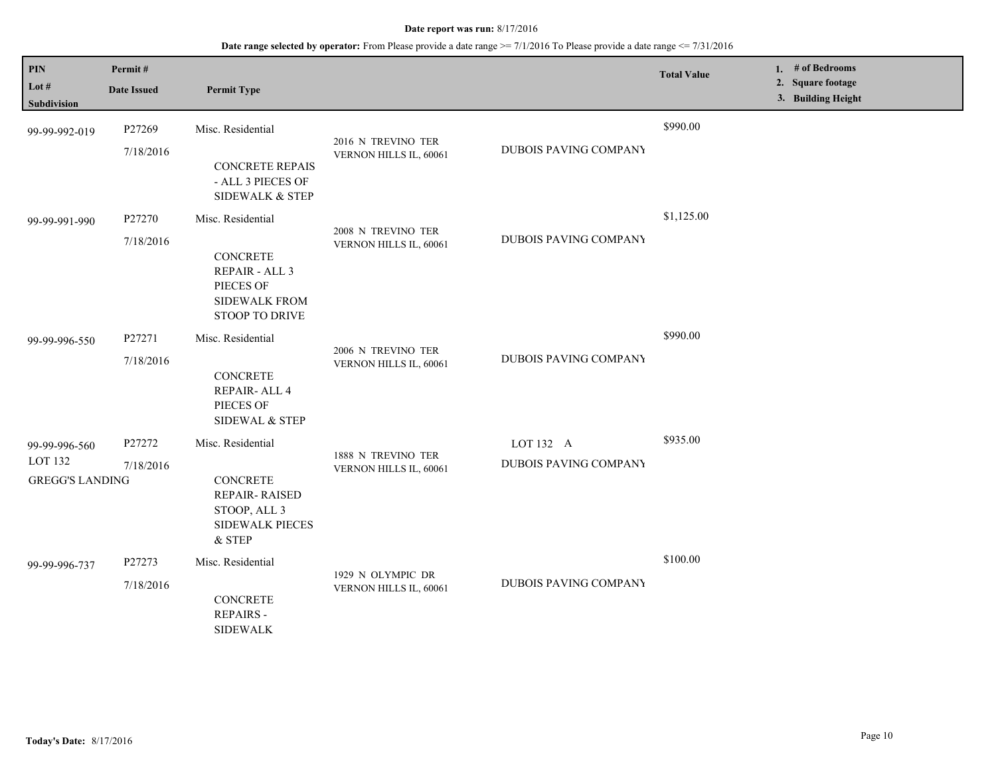| <b>PIN</b><br>Lot $#$<br>Subdivision               | Permit#<br><b>Date Issued</b> | <b>Permit Type</b>                                                                                                                                        |                                              |                                           | <b>Total Value</b> | 1. # of Bedrooms<br>2. Square footage<br>3. Building Height |
|----------------------------------------------------|-------------------------------|-----------------------------------------------------------------------------------------------------------------------------------------------------------|----------------------------------------------|-------------------------------------------|--------------------|-------------------------------------------------------------|
| 99-99-992-019                                      | P27269<br>7/18/2016           | Misc. Residential<br><b>CONCRETE REPAIS</b><br>- ALL 3 PIECES OF                                                                                          | 2016 N TREVINO TER<br>VERNON HILLS IL, 60061 | <b>DUBOIS PAVING COMPANY</b>              | \$990.00           |                                                             |
| 99-99-991-990                                      | P27270<br>7/18/2016           | <b>SIDEWALK &amp; STEP</b><br>Misc. Residential<br><b>CONCRETE</b><br><b>REPAIR - ALL 3</b><br>PIECES OF<br><b>SIDEWALK FROM</b><br><b>STOOP TO DRIVE</b> | 2008 N TREVINO TER<br>VERNON HILLS IL, 60061 | DUBOIS PAVING COMPANY                     | \$1,125.00         |                                                             |
| 99-99-996-550                                      | P27271<br>7/18/2016           | Misc. Residential<br><b>CONCRETE</b><br>REPAIR-ALL 4<br>PIECES OF<br>SIDEWAL & STEP                                                                       | 2006 N TREVINO TER<br>VERNON HILLS IL, 60061 | <b>DUBOIS PAVING COMPANY</b>              | \$990.00           |                                                             |
| 99-99-996-560<br>LOT 132<br><b>GREGG'S LANDING</b> | P27272<br>7/18/2016           | Misc. Residential<br><b>CONCRETE</b><br>REPAIR-RAISED<br>STOOP, ALL 3<br><b>SIDEWALK PIECES</b><br>& STEP                                                 | 1888 N TREVINO TER<br>VERNON HILLS IL, 60061 | LOT 132 A<br><b>DUBOIS PAVING COMPANY</b> | \$935.00           |                                                             |
| 99-99-996-737                                      | P27273<br>7/18/2016           | Misc. Residential<br><b>CONCRETE</b><br>REPAIRS -<br><b>SIDEWALK</b>                                                                                      | 1929 N OLYMPIC DR<br>VERNON HILLS IL, 60061  | <b>DUBOIS PAVING COMPANY</b>              | \$100.00           |                                                             |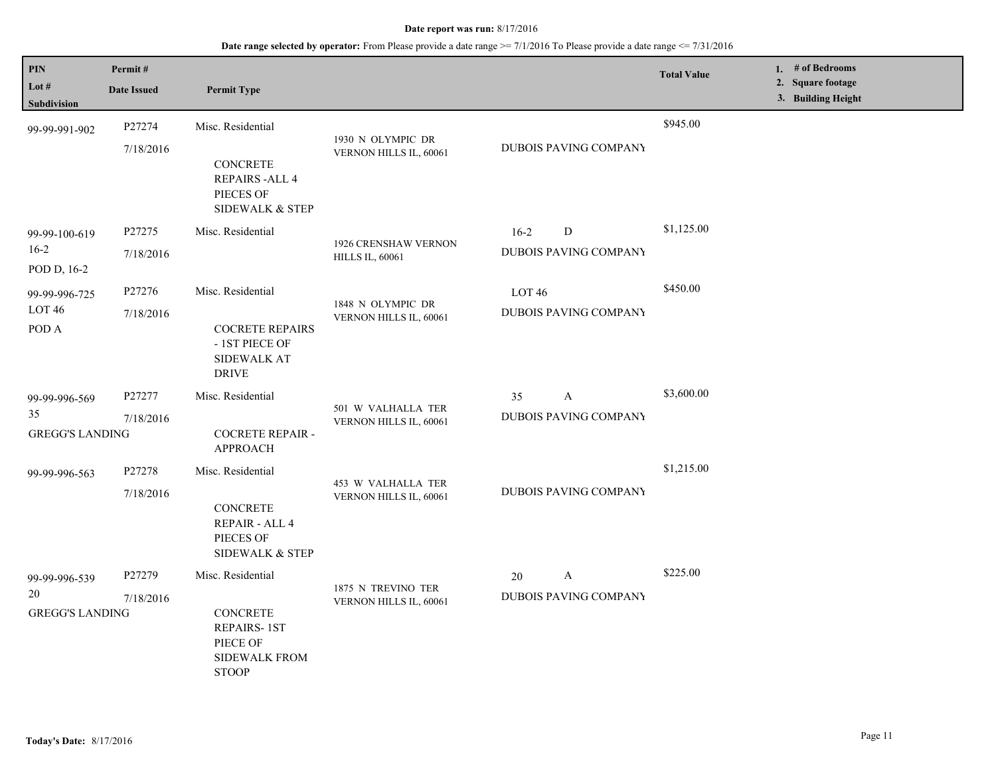| <b>PIN</b><br>Lot $#$<br><b>Subdivision</b>   | Permit#<br><b>Date Issued</b> | <b>Permit Type</b>                                                                                             |                                                       |                                                     | <b>Total Value</b> | 1. $#$ of Bedrooms<br>2. Square footage<br>3. Building Height |
|-----------------------------------------------|-------------------------------|----------------------------------------------------------------------------------------------------------------|-------------------------------------------------------|-----------------------------------------------------|--------------------|---------------------------------------------------------------|
| 99-99-991-902                                 | P27274<br>7/18/2016           | Misc. Residential<br>CONCRETE<br>REPAIRS - ALL 4<br>PIECES OF<br>SIDEWALK & STEP                               | 1930 N OLYMPIC DR<br>VERNON HILLS IL, 60061           | DUBOIS PAVING COMPANY                               | \$945.00           |                                                               |
| 99-99-100-619<br>$16-2$<br>POD D, 16-2        | P27275<br>7/18/2016           | Misc. Residential                                                                                              | <b>1926 CRENSHAW VERNON</b><br><b>HILLS IL, 60061</b> | ${\bf D}$<br>$16-2$<br><b>DUBOIS PAVING COMPANY</b> | \$1,125.00         |                                                               |
| 99-99-996-725<br>LOT <sub>46</sub><br>POD A   | P27276<br>7/18/2016           | Misc. Residential<br><b>COCRETE REPAIRS</b><br>- 1ST PIECE OF<br><b>SIDEWALK AT</b><br><b>DRIVE</b>            | 1848 N OLYMPIC DR<br>VERNON HILLS IL, 60061           | LOT <sub>46</sub><br><b>DUBOIS PAVING COMPANY</b>   | \$450.00           |                                                               |
| 99-99-996-569<br>35<br><b>GREGG'S LANDING</b> | P27277<br>7/18/2016           | Misc. Residential<br><b>COCRETE REPAIR -</b><br><b>APPROACH</b>                                                | 501 W VALHALLA TER<br>VERNON HILLS IL, 60061          | 35<br>A<br>DUBOIS PAVING COMPANY                    | \$3,600.00         |                                                               |
| 99-99-996-563                                 | P27278<br>7/18/2016           | Misc. Residential<br><b>CONCRETE</b><br>REPAIR - ALL 4<br>PIECES OF<br>SIDEWALK & STEP                         | 453 W VALHALLA TER<br>VERNON HILLS IL, 60061          | DUBOIS PAVING COMPANY                               | \$1,215.00         |                                                               |
| 99-99-996-539<br>20<br><b>GREGG'S LANDING</b> | P27279<br>7/18/2016           | Misc. Residential<br><b>CONCRETE</b><br><b>REPAIRS-1ST</b><br>PIECE OF<br><b>SIDEWALK FROM</b><br><b>STOOP</b> | 1875 N TREVINO TER<br>VERNON HILLS IL, 60061          | 20<br>A<br>DUBOIS PAVING COMPANY                    | \$225.00           |                                                               |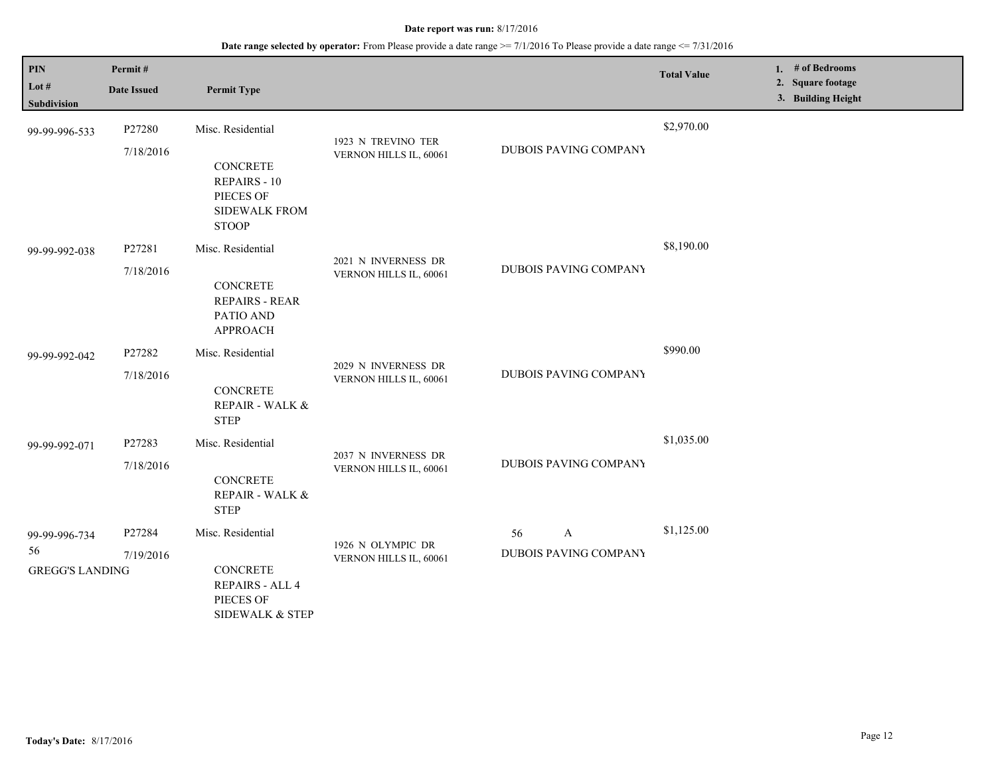| <b>PIN</b><br>Lot #<br><b>Subdivision</b>     | Permit#<br><b>Date Issued</b> | <b>Permit Type</b>                                                                                        |                                               |                                                    | <b>Total Value</b> | 1. # of Bedrooms<br>2. Square footage<br>3. Building Height |
|-----------------------------------------------|-------------------------------|-----------------------------------------------------------------------------------------------------------|-----------------------------------------------|----------------------------------------------------|--------------------|-------------------------------------------------------------|
| 99-99-996-533                                 | P27280<br>7/18/2016           | Misc. Residential<br>CONCRETE<br><b>REPAIRS - 10</b><br>PIECES OF<br><b>SIDEWALK FROM</b><br><b>STOOP</b> | 1923 N TREVINO TER<br>VERNON HILLS IL, 60061  | <b>DUBOIS PAVING COMPANY</b>                       | \$2,970.00         |                                                             |
| 99-99-992-038                                 | P27281<br>7/18/2016           | Misc. Residential<br><b>CONCRETE</b><br><b>REPAIRS - REAR</b><br>PATIO AND<br><b>APPROACH</b>             | 2021 N INVERNESS DR<br>VERNON HILLS IL, 60061 | <b>DUBOIS PAVING COMPANY</b>                       | \$8,190.00         |                                                             |
| 99-99-992-042                                 | P27282<br>7/18/2016           | Misc. Residential<br><b>CONCRETE</b><br>REPAIR - WALK &<br><b>STEP</b>                                    | 2029 N INVERNESS DR<br>VERNON HILLS IL, 60061 | <b>DUBOIS PAVING COMPANY</b>                       | \$990.00           |                                                             |
| 99-99-992-071                                 | P27283<br>7/18/2016           | Misc. Residential<br><b>CONCRETE</b><br><b>REPAIR - WALK &amp;</b><br><b>STEP</b>                         | 2037 N INVERNESS DR<br>VERNON HILLS IL, 60061 | <b>DUBOIS PAVING COMPANY</b>                       | \$1,035.00         |                                                             |
| 99-99-996-734<br>56<br><b>GREGG'S LANDING</b> | P27284<br>7/19/2016           | Misc. Residential<br><b>CONCRETE</b><br>REPAIRS - ALL 4<br>PIECES OF<br><b>SIDEWALK &amp; STEP</b>        | 1926 N OLYMPIC DR<br>VERNON HILLS IL, 60061   | $\mathbf{A}$<br>56<br><b>DUBOIS PAVING COMPANY</b> | \$1,125.00         |                                                             |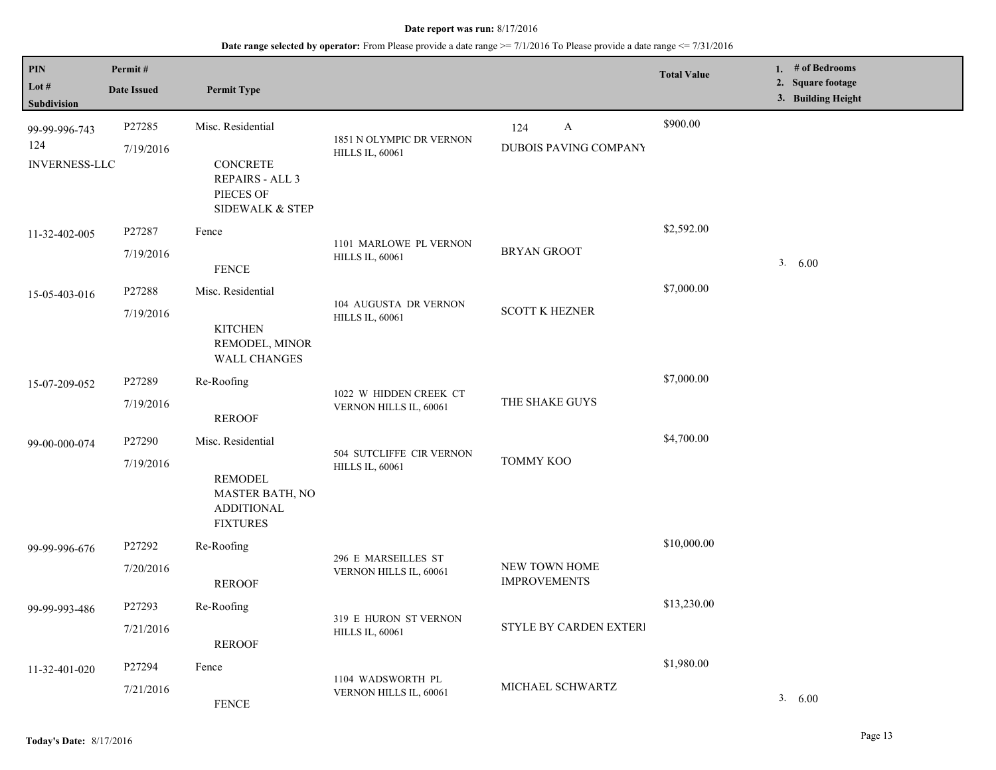| PIN<br>Lot $#$<br>Subdivision                | Permit#<br><b>Date Issued</b> | <b>Permit Type</b>                                                                                    |                                                    |                                      | <b>Total Value</b> | 1. # of Bedrooms<br>2. Square footage<br>3. Building Height |
|----------------------------------------------|-------------------------------|-------------------------------------------------------------------------------------------------------|----------------------------------------------------|--------------------------------------|--------------------|-------------------------------------------------------------|
| 99-99-996-743<br>124<br><b>INVERNESS-LLC</b> | P27285<br>7/19/2016           | Misc. Residential<br><b>CONCRETE</b><br>REPAIRS - ALL 3<br>PIECES OF<br><b>SIDEWALK &amp; STEP</b>    | 1851 N OLYMPIC DR VERNON<br><b>HILLS IL, 60061</b> | 124<br>A<br>DUBOIS PAVING COMPANY    | \$900.00           |                                                             |
| 11-32-402-005                                | P27287<br>7/19/2016           | Fence<br><b>FENCE</b>                                                                                 | 1101 MARLOWE PL VERNON<br><b>HILLS IL, 60061</b>   | <b>BRYAN GROOT</b>                   | \$2,592.00         | 3.600                                                       |
| 15-05-403-016                                | P27288<br>7/19/2016           | Misc. Residential<br><b>KITCHEN</b><br>REMODEL, MINOR<br>WALL CHANGES                                 | 104 AUGUSTA DR VERNON<br><b>HILLS IL, 60061</b>    | <b>SCOTT K HEZNER</b>                | \$7,000.00         |                                                             |
| 15-07-209-052                                | P27289<br>7/19/2016           | Re-Roofing<br><b>REROOF</b>                                                                           | 1022 W HIDDEN CREEK CT<br>VERNON HILLS IL, 60061   | THE SHAKE GUYS                       | \$7,000.00         |                                                             |
| 99-00-000-074                                | P27290<br>7/19/2016           | Misc. Residential<br><b>REMODEL</b><br><b>MASTER BATH, NO</b><br><b>ADDITIONAL</b><br><b>FIXTURES</b> | 504 SUTCLIFFE CIR VERNON<br><b>HILLS IL, 60061</b> | <b>TOMMY KOO</b>                     | \$4,700.00         |                                                             |
| 99-99-996-676                                | P27292<br>7/20/2016           | Re-Roofing<br><b>REROOF</b>                                                                           | 296 E MARSEILLES ST<br>VERNON HILLS IL, 60061      | NEW TOWN HOME<br><b>IMPROVEMENTS</b> | \$10,000.00        |                                                             |
| 99-99-993-486                                | P27293<br>7/21/2016           | Re-Roofing<br><b>REROOF</b>                                                                           | 319 E HURON ST VERNON<br><b>HILLS IL, 60061</b>    | STYLE BY CARDEN EXTERI               | \$13,230.00        |                                                             |
| 11-32-401-020                                | P27294<br>7/21/2016           | Fence<br><b>FENCE</b>                                                                                 | 1104 WADSWORTH PL<br>VERNON HILLS IL, 60061        | MICHAEL SCHWARTZ                     | \$1,980.00         | 3.600                                                       |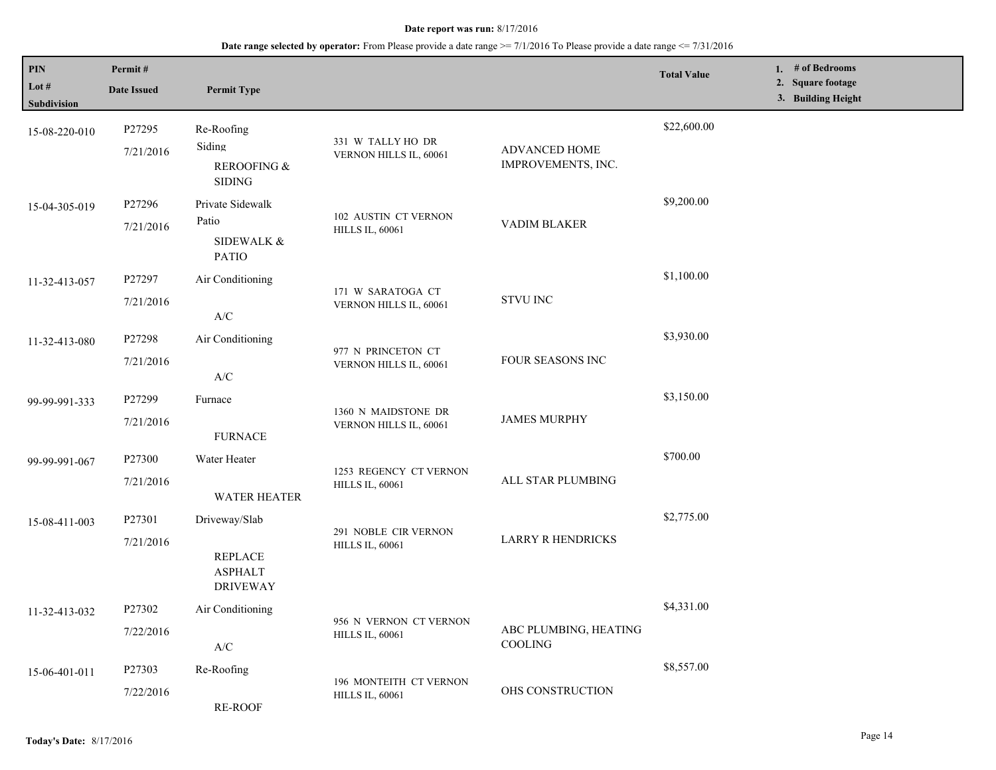# **Date range selected by operator:** From Please provide a date range >= 7/1/2016 To Please provide a date range <= 7/31/2016

| PIN<br>Lot $#$<br>Subdivision | Permit#<br><b>Date Issued</b> | <b>Permit Type</b>                                                                  |                                                  |                                     | <b>Total Value</b> | 1. # of Bedrooms<br>2. Square footage<br>3. Building Height |
|-------------------------------|-------------------------------|-------------------------------------------------------------------------------------|--------------------------------------------------|-------------------------------------|--------------------|-------------------------------------------------------------|
| 15-08-220-010                 | P27295<br>7/21/2016           | Re-Roofing<br>Siding<br><b>REROOFING &amp;</b><br><b>SIDING</b>                     | 331 W TALLY HO DR<br>VERNON HILLS IL, 60061      | ADVANCED HOME<br>IMPROVEMENTS, INC. | \$22,600.00        |                                                             |
| 15-04-305-019                 | P27296<br>7/21/2016           | Private Sidewalk<br>Patio<br><b>SIDEWALK &amp;</b><br><b>PATIO</b>                  | 102 AUSTIN CT VERNON<br><b>HILLS IL, 60061</b>   | VADIM BLAKER                        | \$9,200.00         |                                                             |
| 11-32-413-057                 | P27297<br>7/21/2016           | Air Conditioning<br>$\ensuremath{\text{A}}\xspace/\ensuremath{\text{C}}\xspace$     | 171 W SARATOGA CT<br>VERNON HILLS IL, 60061      | <b>STVU INC</b>                     | \$1,100.00         |                                                             |
| 11-32-413-080                 | P27298<br>7/21/2016           | Air Conditioning<br>$\ensuremath{\mathsf{A}}\xspace/\ensuremath{\mathsf{C}}\xspace$ | 977 N PRINCETON CT<br>VERNON HILLS IL, 60061     | FOUR SEASONS INC                    | \$3,930.00         |                                                             |
| 99-99-991-333                 | P27299<br>7/21/2016           | Furnace<br><b>FURNACE</b>                                                           | 1360 N MAIDSTONE DR<br>VERNON HILLS IL, 60061    | <b>JAMES MURPHY</b>                 | \$3,150.00         |                                                             |
| 99-99-991-067                 | P27300<br>7/21/2016           | Water Heater<br><b>WATER HEATER</b>                                                 | 1253 REGENCY CT VERNON<br><b>HILLS IL, 60061</b> | ALL STAR PLUMBING                   | \$700.00           |                                                             |
| 15-08-411-003                 | P27301<br>7/21/2016           | Driveway/Slab<br><b>REPLACE</b><br><b>ASPHALT</b><br><b>DRIVEWAY</b>                | 291 NOBLE CIR VERNON<br><b>HILLS IL, 60061</b>   | LARRY R HENDRICKS                   | \$2,775.00         |                                                             |
| 11-32-413-032                 | P27302<br>7/22/2016           | Air Conditioning<br>A/C                                                             | 956 N VERNON CT VERNON<br><b>HILLS IL, 60061</b> | ABC PLUMBING, HEATING<br>COOLING    | \$4,331.00         |                                                             |
| 15-06-401-011                 | P27303<br>7/22/2016           | Re-Roofing<br><b>RE-ROOF</b>                                                        | 196 MONTEITH CT VERNON<br><b>HILLS IL, 60061</b> | OHS CONSTRUCTION                    | \$8,557.00         |                                                             |

L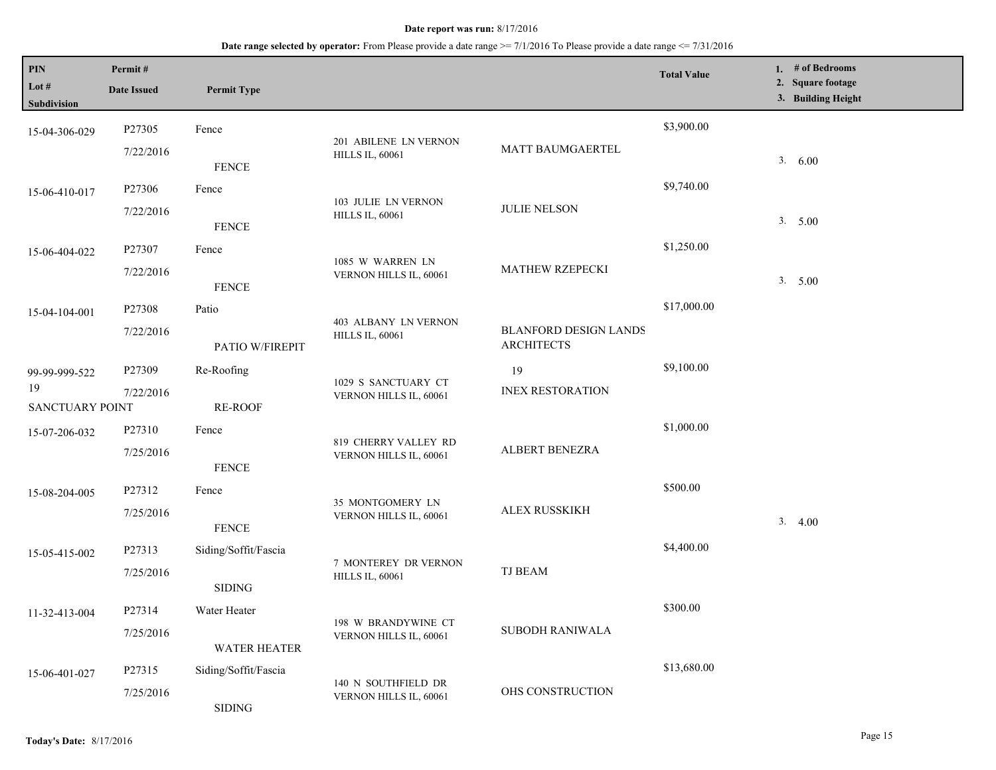| <b>PIN</b><br>Lot $#$<br><b>Subdivision</b>   | Permit#<br><b>Date Issued</b> | <b>Permit Type</b>                    |                                                 |                                                   | <b>Total Value</b> | 1. # of Bedrooms<br>2. Square footage<br>3. Building Height |
|-----------------------------------------------|-------------------------------|---------------------------------------|-------------------------------------------------|---------------------------------------------------|--------------------|-------------------------------------------------------------|
| 15-04-306-029                                 | P27305<br>7/22/2016           | Fence<br><b>FENCE</b>                 | 201 ABILENE LN VERNON<br><b>HILLS IL, 60061</b> | MATT BAUMGAERTEL                                  | \$3,900.00         | 3. 6.00                                                     |
| 15-06-410-017                                 | P27306<br>7/22/2016           | Fence<br><b>FENCE</b>                 | 103 JULIE LN VERNON<br><b>HILLS IL, 60061</b>   | <b>JULIE NELSON</b>                               | \$9,740.00         | 3. 5.00                                                     |
| 15-06-404-022                                 | P27307<br>7/22/2016           | Fence<br><b>FENCE</b>                 | 1085 W WARREN LN<br>VERNON HILLS IL, 60061      | MATHEW RZEPECKI                                   | \$1,250.00         | 3. 5.00                                                     |
| 15-04-104-001                                 | P27308<br>7/22/2016           | Patio<br>PATIO W/FIREPIT              | 403 ALBANY LN VERNON<br><b>HILLS IL, 60061</b>  | <b>BLANFORD DESIGN LANDS</b><br><b>ARCHITECTS</b> | \$17,000.00        |                                                             |
| 99-99-999-522<br>19<br><b>SANCTUARY POINT</b> | P27309<br>7/22/2016           | Re-Roofing<br><b>RE-ROOF</b>          | 1029 S SANCTUARY CT<br>VERNON HILLS IL, 60061   | 19<br><b>INEX RESTORATION</b>                     | \$9,100.00         |                                                             |
| 15-07-206-032                                 | P27310<br>7/25/2016           | Fence<br><b>FENCE</b>                 | 819 CHERRY VALLEY RD<br>VERNON HILLS IL, 60061  | <b>ALBERT BENEZRA</b>                             | \$1,000.00         |                                                             |
| 15-08-204-005                                 | P27312<br>7/25/2016           | Fence<br><b>FENCE</b>                 | 35 MONTGOMERY LN<br>VERNON HILLS IL, 60061      | ALEX RUSSKIKH                                     | \$500.00           | 3.4.00                                                      |
| 15-05-415-002                                 | P27313<br>7/25/2016           | Siding/Soffit/Fascia<br><b>SIDING</b> | 7 MONTEREY DR VERNON<br><b>HILLS IL, 60061</b>  | <b>TJ BEAM</b>                                    | \$4,400.00         |                                                             |
| 11-32-413-004                                 | P27314<br>7/25/2016           | Water Heater<br><b>WATER HEATER</b>   | 198 W BRANDYWINE CT<br>VERNON HILLS IL, 60061   | SUBODH RANIWALA                                   | \$300.00           |                                                             |
| 15-06-401-027                                 | P27315<br>7/25/2016           | Siding/Soffit/Fascia<br>SIDING        | 140 N SOUTHFIELD DR<br>VERNON HILLS IL, 60061   | OHS CONSTRUCTION                                  | \$13,680.00        |                                                             |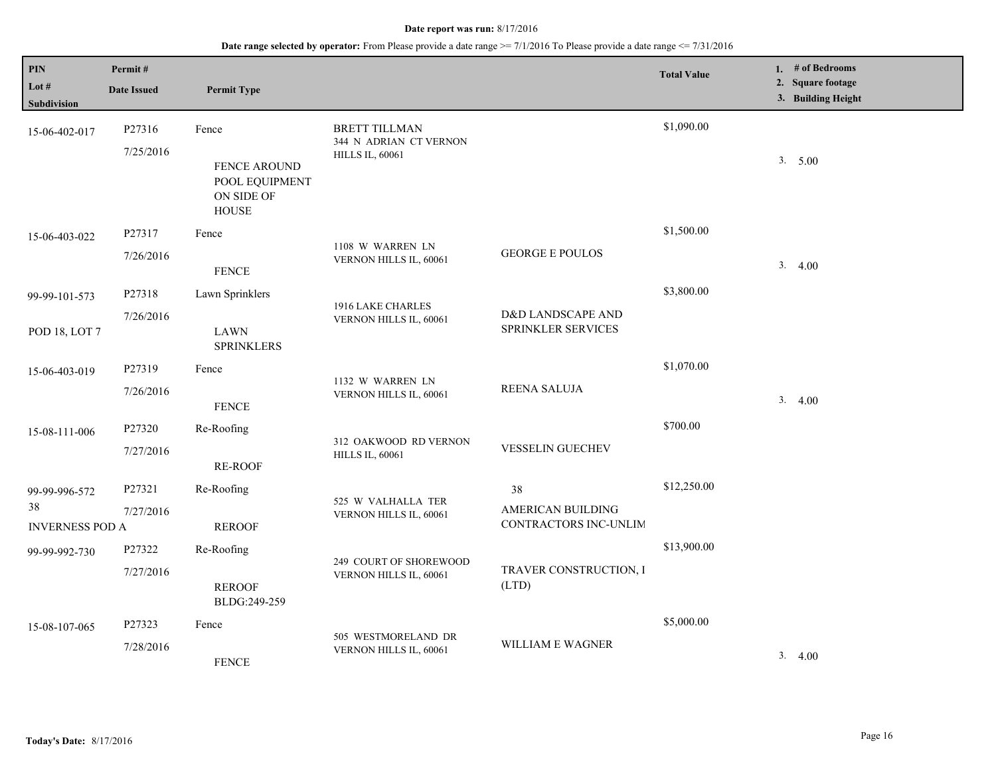| PIN<br>Lot $#$<br>Subdivision                 | Permit#<br><b>Date Issued</b> | <b>Permit Type</b>                                                    |                                                                          |                                                  | <b>Total Value</b> | 1. # of Bedrooms<br>2. Square footage<br>3. Building Height |
|-----------------------------------------------|-------------------------------|-----------------------------------------------------------------------|--------------------------------------------------------------------------|--------------------------------------------------|--------------------|-------------------------------------------------------------|
| 15-06-402-017                                 | P27316<br>7/25/2016           | Fence<br>FENCE AROUND<br>POOL EQUIPMENT<br>ON SIDE OF<br><b>HOUSE</b> | <b>BRETT TILLMAN</b><br>344 N ADRIAN CT VERNON<br><b>HILLS IL, 60061</b> |                                                  | \$1,090.00         | 3. 5.00                                                     |
| 15-06-403-022                                 | P27317<br>7/26/2016           | Fence<br><b>FENCE</b>                                                 | 1108 W WARREN LN<br>VERNON HILLS IL, 60061                               | <b>GEORGE E POULOS</b>                           | \$1,500.00         | 3.4.00                                                      |
| 99-99-101-573<br>POD 18, LOT 7                | P27318<br>7/26/2016           | Lawn Sprinklers<br><b>LAWN</b><br><b>SPRINKLERS</b>                   | 1916 LAKE CHARLES<br>VERNON HILLS IL, 60061                              | D&D LANDSCAPE AND<br><b>SPRINKLER SERVICES</b>   | \$3,800.00         |                                                             |
| 15-06-403-019                                 | P27319<br>7/26/2016           | Fence<br>${\tt FENCE}$                                                | 1132 W WARREN LN<br>VERNON HILLS IL, 60061                               | REENA SALUJA                                     | \$1,070.00         | 3.4.00                                                      |
| 15-08-111-006                                 | P27320<br>7/27/2016           | Re-Roofing<br><b>RE-ROOF</b>                                          | 312 OAKWOOD RD VERNON<br><b>HILLS IL, 60061</b>                          | <b>VESSELIN GUECHEV</b>                          | \$700.00           |                                                             |
| 99-99-996-572<br>38<br><b>INVERNESS POD A</b> | P27321<br>7/27/2016           | Re-Roofing<br><b>REROOF</b>                                           | 525 W VALHALLA TER<br>VERNON HILLS IL, 60061                             | 38<br>AMERICAN BUILDING<br>CONTRACTORS INC-UNLIM | \$12,250.00        |                                                             |
| 99-99-992-730                                 | P27322<br>7/27/2016           | Re-Roofing<br><b>REROOF</b><br>BLDG:249-259                           | 249 COURT OF SHOREWOOD<br>VERNON HILLS IL, 60061                         | TRAVER CONSTRUCTION, I<br>(LTD)                  | \$13,900.00        |                                                             |
| 15-08-107-065                                 | P27323<br>7/28/2016           | Fence<br><b>FENCE</b>                                                 | 505 WESTMORELAND DR<br>VERNON HILLS IL, 60061                            | WILLIAM E WAGNER                                 | \$5,000.00         | 3.4.00                                                      |